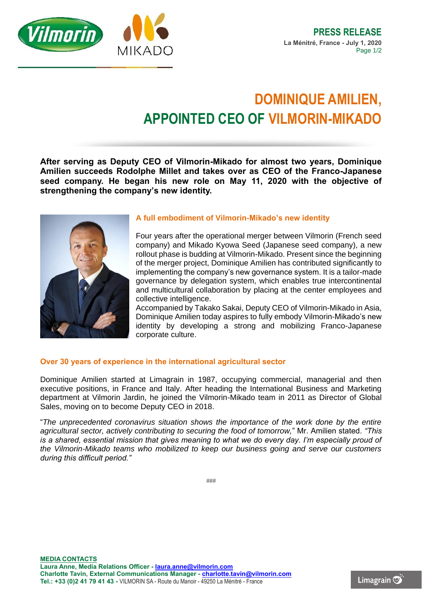

## **DOMINIQUE AMILIEN, APPOINTED CEO OF VILMORIN-MIKADO**

**After serving as Deputy CEO of Vilmorin-Mikado for almost two years, Dominique Amilien succeeds Rodolphe Millet and takes over as CEO of the Franco-Japanese seed company. He began his new role on May 11, 2020 with the objective of strengthening the company's new identity.**



## **A full embodiment of Vilmorin-Mikado's new identity**

Four years after the operational merger between Vilmorin (French seed company) and Mikado Kyowa Seed (Japanese seed company), a new rollout phase is budding at Vilmorin-Mikado. Present since the beginning of the merger project, Dominique Amilien has contributed significantly to implementing the company's new governance system. It is a tailor-made governance by delegation system, which enables true intercontinental and multicultural collaboration by placing at the center employees and collective intelligence.

Accompanied by Takako Sakai, Deputy CEO of Vilmorin-Mikado in Asia, Dominique Amilien today aspires to fully embody Vilmorin-Mikado's new identity by developing a strong and mobilizing Franco-Japanese corporate culture.

## **Over 30 years of experience in the international agricultural sector**

Dominique Amilien started at Limagrain in 1987, occupying commercial, managerial and then executive positions, in France and Italy. After heading the International Business and Marketing department at Vilmorin Jardin, he joined the Vilmorin-Mikado team in 2011 as Director of Global Sales, moving on to become Deputy CEO in 2018.

"*The unprecedented coronavirus situation shows the importance of the work done by the entire agricultural sector, actively contributing to securing the food of tomorrow,*" Mr. Amilien stated. *"This is a shared, essential mission that gives meaning to what we do every day. I'm especially proud of the Vilmorin-Mikado teams who mobilized to keep our business going and serve our customers during this difficult period."* 

*###*